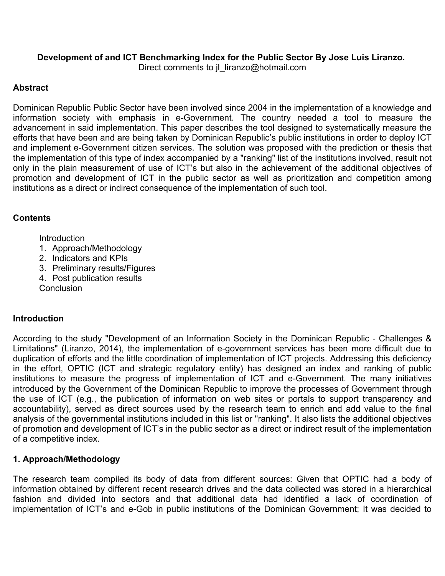## **Development of and ICT Benchmarking Index for the Public Sector By Jose Luis Liranzo.**

Direct comments to jl\_liranzo@hotmail.com

## **Abstract**

Dominican Republic Public Sector have been involved since 2004 in the implementation of a knowledge and information society with emphasis in e-Government. The country needed a tool to measure the advancement in said implementation. This paper describes the tool designed to systematically measure the efforts that have been and are being taken by Dominican Republic's public institutions in order to deploy ICT and implement e-Government citizen services. The solution was proposed with the prediction or thesis that the implementation of this type of index accompanied by a "ranking" list of the institutions involved, result not only in the plain measurement of use of ICT's but also in the achievement of the additional objectives of promotion and development of ICT in the public sector as well as prioritization and competition among institutions as a direct or indirect consequence of the implementation of such tool.

## **Contents**

**Introduction** 

- 1. Approach/Methodology
- 2. Indicators and KPIs
- 3. Preliminary results/Figures
- 4. Post publication results

**Conclusion** 

## **Introduction**

According to the study "Development of an Information Society in the Dominican Republic - Challenges & Limitations" (Liranzo, 2014), the implementation of e-government services has been more difficult due to duplication of efforts and the little coordination of implementation of ICT projects. Addressing this deficiency in the effort, OPTIC (ICT and strategic regulatory entity) has designed an index and ranking of public institutions to measure the progress of implementation of ICT and e-Government. The many initiatives introduced by the Government of the Dominican Republic to improve the processes of Government through the use of ICT (e.g., the publication of information on web sites or portals to support transparency and accountability), served as direct sources used by the research team to enrich and add value to the final analysis of the governmental institutions included in this list or "ranking". It also lists the additional objectives of promotion and development of ICT's in the public sector as a direct or indirect result of the implementation of a competitive index.

# **1. Approach/Methodology**

The research team compiled its body of data from different sources: Given that OPTIC had a body of information obtained by different recent research drives and the data collected was stored in a hierarchical fashion and divided into sectors and that additional data had identified a lack of coordination of implementation of ICT's and e-Gob in public institutions of the Dominican Government; It was decided to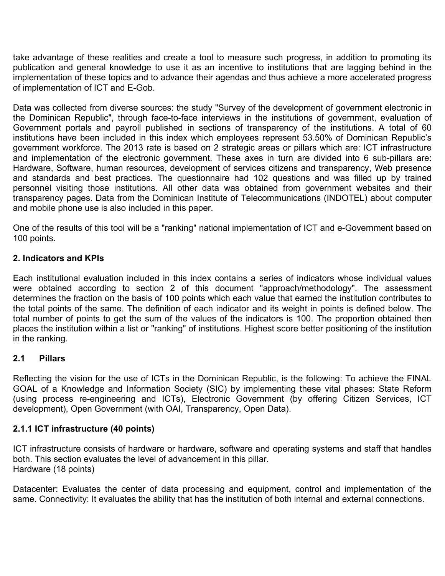take advantage of these realities and create a tool to measure such progress, in addition to promoting its publication and general knowledge to use it as an incentive to institutions that are lagging behind in the implementation of these topics and to advance their agendas and thus achieve a more accelerated progress of implementation of ICT and E-Gob.

Data was collected from diverse sources: the study "Survey of the development of government electronic in the Dominican Republic", through face-to-face interviews in the institutions of government, evaluation of Government portals and payroll published in sections of transparency of the institutions. A total of 60 institutions have been included in this index which employees represent 53.50% of Dominican Republic's government workforce. The 2013 rate is based on 2 strategic areas or pillars which are: ICT infrastructure and implementation of the electronic government. These axes in turn are divided into 6 sub-pillars are: Hardware, Software, human resources, development of services citizens and transparency, Web presence and standards and best practices. The questionnaire had 102 questions and was filled up by trained personnel visiting those institutions. All other data was obtained from government websites and their transparency pages. Data from the Dominican Institute of Telecommunications (INDOTEL) about computer and mobile phone use is also included in this paper.

One of the results of this tool will be a "ranking" national implementation of ICT and e-Government based on 100 points.

### **2. Indicators and KPIs**

Each institutional evaluation included in this index contains a series of indicators whose individual values were obtained according to section 2 of this document "approach/methodology". The assessment determines the fraction on the basis of 100 points which each value that earned the institution contributes to the total points of the same. The definition of each indicator and its weight in points is defined below. The total number of points to get the sum of the values of the indicators is 100. The proportion obtained then places the institution within a list or "ranking" of institutions. Highest score better positioning of the institution in the ranking.

### **2.1 Pillars**

Reflecting the vision for the use of ICTs in the Dominican Republic, is the following: To achieve the FINAL GOAL of a Knowledge and Information Society (SIC) by implementing these vital phases: State Reform (using process re-engineering and ICTs), Electronic Government (by offering Citizen Services, ICT development), Open Government (with OAI, Transparency, Open Data).

### **2.1.1 ICT infrastructure (40 points)**

ICT infrastructure consists of hardware or hardware, software and operating systems and staff that handles both. This section evaluates the level of advancement in this pillar. Hardware (18 points)

Datacenter: Evaluates the center of data processing and equipment, control and implementation of the same. Connectivity: It evaluates the ability that has the institution of both internal and external connections.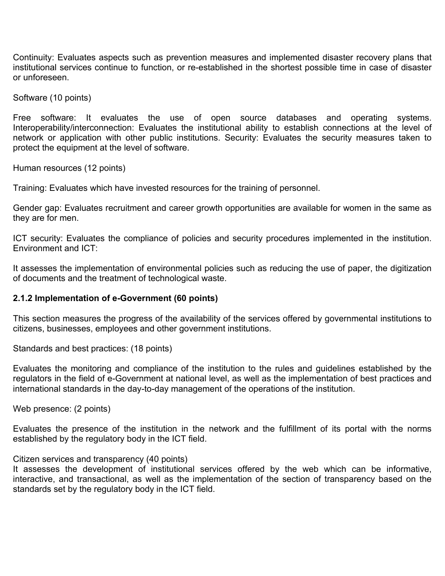Continuity: Evaluates aspects such as prevention measures and implemented disaster recovery plans that institutional services continue to function, or re-established in the shortest possible time in case of disaster or unforeseen.

Software (10 points)

Free software: It evaluates the use of open source databases and operating systems. Interoperability/interconnection: Evaluates the institutional ability to establish connections at the level of network or application with other public institutions. Security: Evaluates the security measures taken to protect the equipment at the level of software.

Human resources (12 points)

Training: Evaluates which have invested resources for the training of personnel.

Gender gap: Evaluates recruitment and career growth opportunities are available for women in the same as they are for men.

ICT security: Evaluates the compliance of policies and security procedures implemented in the institution. Environment and ICT:

It assesses the implementation of environmental policies such as reducing the use of paper, the digitization of documents and the treatment of technological waste.

#### **2.1.2 Implementation of e-Government (60 points)**

This section measures the progress of the availability of the services offered by governmental institutions to citizens, businesses, employees and other government institutions.

Standards and best practices: (18 points)

Evaluates the monitoring and compliance of the institution to the rules and guidelines established by the regulators in the field of e-Government at national level, as well as the implementation of best practices and international standards in the day-to-day management of the operations of the institution.

Web presence: (2 points)

Evaluates the presence of the institution in the network and the fulfillment of its portal with the norms established by the regulatory body in the ICT field.

#### Citizen services and transparency (40 points)

It assesses the development of institutional services offered by the web which can be informative, interactive, and transactional, as well as the implementation of the section of transparency based on the standards set by the regulatory body in the ICT field.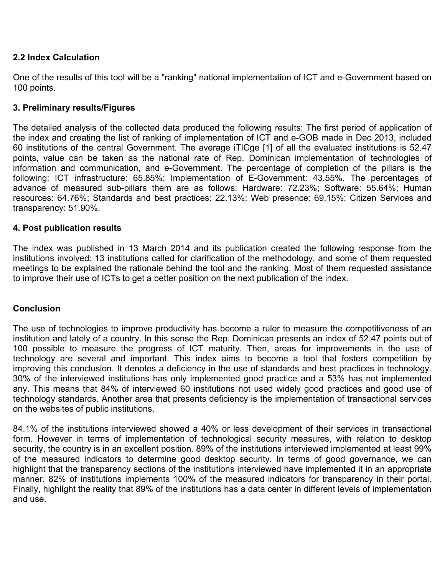### **2.2 Index Calculation**

One of the results of this tool will be a "ranking" national implementation of ICT and e-Government based on 100 points.

### **3. Preliminary results/Figures**

The detailed analysis of the collected data produced the following results: The first period of application of the index and creating the list of ranking of implementation of ICT and e-GOB made in Dec 2013, included 60 institutions of the central Government. The average iTICge [1] of all the evaluated institutions is 52.47 points, value can be taken as the national rate of Rep. Dominican implementation of technologies of information and communication, and e-Government. The percentage of completion of the pillars is the following: ICT infrastructure: 65.85%; Implementation of E-Government: 43.55%. The percentages of advance of measured sub-pillars them are as follows: Hardware: 72.23%; Software: 55.64%; Human resources: 64.76%; Standards and best practices: 22.13%; Web presence: 69.15%; Citizen Services and transparency: 51.90%.

### **4. Post publication results**

The index was published in 13 March 2014 and its publication created the following response from the institutions involved: 13 institutions called for clarification of the methodology, and some of them requested meetings to be explained the rationale behind the tool and the ranking. Most of them requested assistance to improve their use of ICTs to get a better position on the next publication of the index.

### **Conclusion**

The use of technologies to improve productivity has become a ruler to measure the competitiveness of an institution and lately of a country. In this sense the Rep. Dominican presents an index of 52.47 points out of 100 possible to measure the progress of ICT maturity. Then, areas for improvements in the use of technology are several and important. This index aims to become a tool that fosters competition by improving this conclusion. It denotes a deficiency in the use of standards and best practices in technology. 30% of the interviewed institutions has only implemented good practice and a 53% has not implemented any. This means that 84% of interviewed 60 institutions not used widely good practices and good use of technology standards. Another area that presents deficiency is the implementation of transactional services on the websites of public institutions.

84.1% of the institutions interviewed showed a 40% or less development of their services in transactional form. However in terms of implementation of technological security measures, with relation to desktop security, the country is in an excellent position. 89% of the institutions interviewed implemented at least 99% of the measured indicators to determine good desktop security. In terms of good governance, we can highlight that the transparency sections of the institutions interviewed have implemented it in an appropriate manner. 82% of institutions implements 100% of the measured indicators for transparency in their portal. Finally, highlight the reality that 89% of the institutions has a data center in different levels of implementation and use.